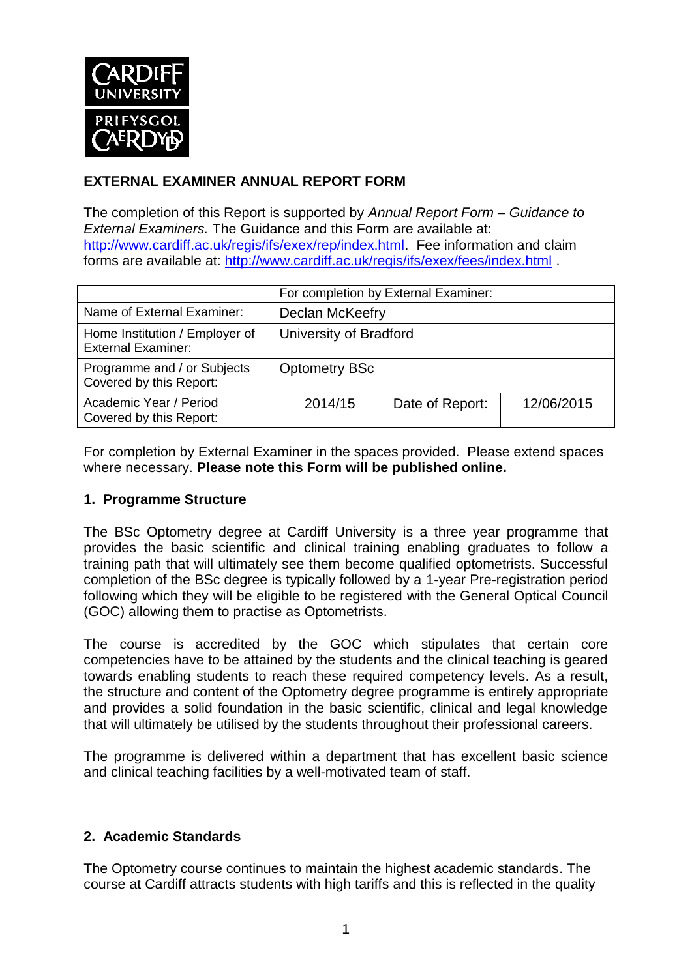

# **EXTERNAL EXAMINER ANNUAL REPORT FORM**

The completion of this Report is supported by *Annual Report Form – Guidance to External Examiners.* The Guidance and this Form are available at: <http://www.cardiff.ac.uk/regis/ifs/exex/rep/index.html>. Fee information and claim forms are available at: <http://www.cardiff.ac.uk/regis/ifs/exex/fees/index.html> .

|                                                             | For completion by External Examiner: |                 |            |  |
|-------------------------------------------------------------|--------------------------------------|-----------------|------------|--|
| Name of External Examiner:                                  | Declan McKeefry                      |                 |            |  |
| Home Institution / Employer of<br><b>External Examiner:</b> | University of Bradford               |                 |            |  |
| Programme and / or Subjects<br>Covered by this Report:      | <b>Optometry BSc</b>                 |                 |            |  |
| Academic Year / Period<br>Covered by this Report:           | 2014/15                              | Date of Report: | 12/06/2015 |  |

For completion by External Examiner in the spaces provided. Please extend spaces where necessary. **Please note this Form will be published online.**

### **1. Programme Structure**

The BSc Optometry degree at Cardiff University is a three year programme that provides the basic scientific and clinical training enabling graduates to follow a training path that will ultimately see them become qualified optometrists. Successful completion of the BSc degree is typically followed by a 1-year Pre-registration period following which they will be eligible to be registered with the General Optical Council (GOC) allowing them to practise as Optometrists.

The course is accredited by the GOC which stipulates that certain core competencies have to be attained by the students and the clinical teaching is geared towards enabling students to reach these required competency levels. As a result, the structure and content of the Optometry degree programme is entirely appropriate and provides a solid foundation in the basic scientific, clinical and legal knowledge that will ultimately be utilised by the students throughout their professional careers.

The programme is delivered within a department that has excellent basic science and clinical teaching facilities by a well-motivated team of staff.

## **2. Academic Standards**

The Optometry course continues to maintain the highest academic standards. The course at Cardiff attracts students with high tariffs and this is reflected in the quality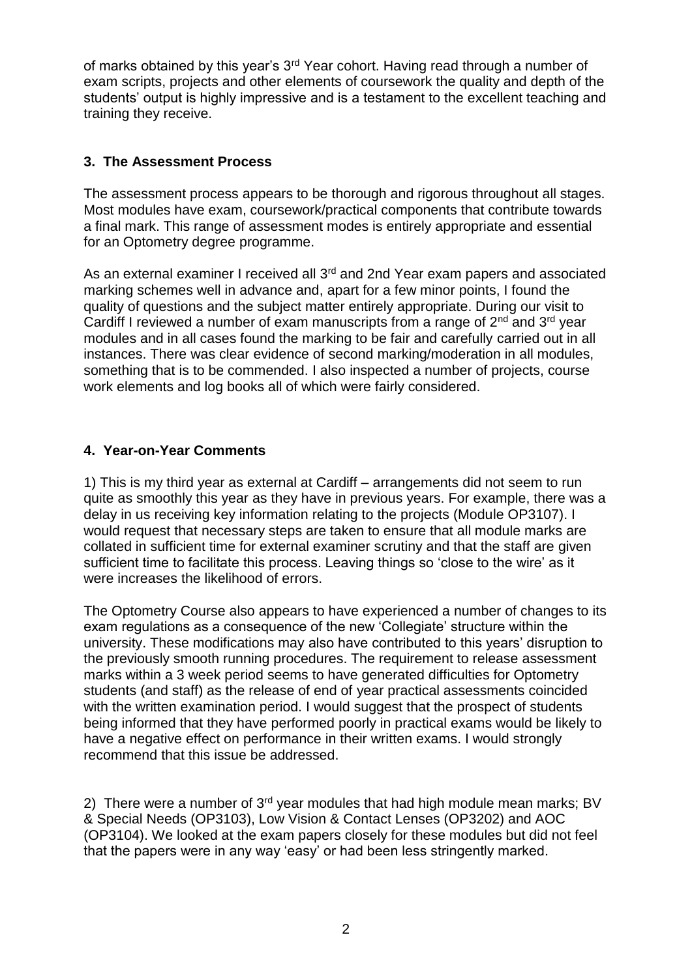of marks obtained by this year's 3rd Year cohort. Having read through a number of exam scripts, projects and other elements of coursework the quality and depth of the students' output is highly impressive and is a testament to the excellent teaching and training they receive.

# **3. The Assessment Process**

The assessment process appears to be thorough and rigorous throughout all stages. Most modules have exam, coursework/practical components that contribute towards a final mark. This range of assessment modes is entirely appropriate and essential for an Optometry degree programme.

As an external examiner I received all 3<sup>rd</sup> and 2nd Year exam papers and associated marking schemes well in advance and, apart for a few minor points, I found the quality of questions and the subject matter entirely appropriate. During our visit to Cardiff I reviewed a number of exam manuscripts from a range of  $2^{nd}$  and  $3^{rd}$  year modules and in all cases found the marking to be fair and carefully carried out in all instances. There was clear evidence of second marking/moderation in all modules, something that is to be commended. I also inspected a number of projects, course work elements and log books all of which were fairly considered.

## **4. Year-on-Year Comments**

1) This is my third year as external at Cardiff – arrangements did not seem to run quite as smoothly this year as they have in previous years. For example, there was a delay in us receiving key information relating to the projects (Module OP3107). I would request that necessary steps are taken to ensure that all module marks are collated in sufficient time for external examiner scrutiny and that the staff are given sufficient time to facilitate this process. Leaving things so 'close to the wire' as it were increases the likelihood of errors.

The Optometry Course also appears to have experienced a number of changes to its exam regulations as a consequence of the new 'Collegiate' structure within the university. These modifications may also have contributed to this years' disruption to the previously smooth running procedures. The requirement to release assessment marks within a 3 week period seems to have generated difficulties for Optometry students (and staff) as the release of end of year practical assessments coincided with the written examination period. I would suggest that the prospect of students being informed that they have performed poorly in practical exams would be likely to have a negative effect on performance in their written exams. I would strongly recommend that this issue be addressed.

2) There were a number of 3<sup>rd</sup> year modules that had high module mean marks; BV & Special Needs (OP3103), Low Vision & Contact Lenses (OP3202) and AOC (OP3104). We looked at the exam papers closely for these modules but did not feel that the papers were in any way 'easy' or had been less stringently marked.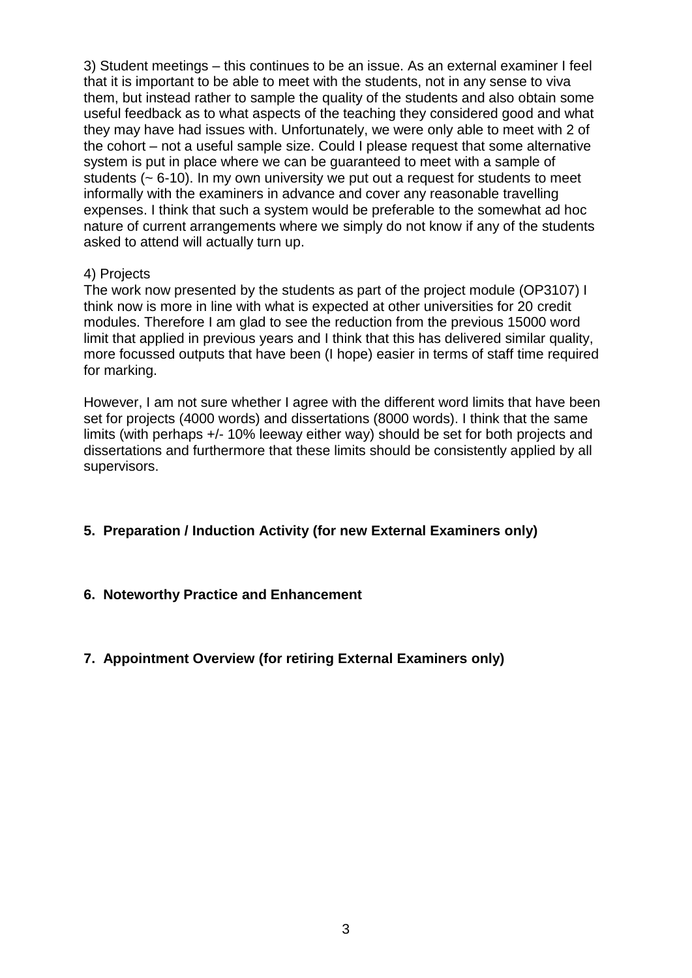3) Student meetings – this continues to be an issue. As an external examiner I feel that it is important to be able to meet with the students, not in any sense to viva them, but instead rather to sample the quality of the students and also obtain some useful feedback as to what aspects of the teaching they considered good and what they may have had issues with. Unfortunately, we were only able to meet with 2 of the cohort – not a useful sample size. Could I please request that some alternative system is put in place where we can be guaranteed to meet with a sample of students (~ 6-10). In my own university we put out a request for students to meet informally with the examiners in advance and cover any reasonable travelling expenses. I think that such a system would be preferable to the somewhat ad hoc nature of current arrangements where we simply do not know if any of the students asked to attend will actually turn up.

#### 4) Projects

The work now presented by the students as part of the project module (OP3107) I think now is more in line with what is expected at other universities for 20 credit modules. Therefore I am glad to see the reduction from the previous 15000 word limit that applied in previous years and I think that this has delivered similar quality, more focussed outputs that have been (I hope) easier in terms of staff time required for marking.

However, I am not sure whether I agree with the different word limits that have been set for projects (4000 words) and dissertations (8000 words). I think that the same limits (with perhaps +/- 10% leeway either way) should be set for both projects and dissertations and furthermore that these limits should be consistently applied by all supervisors.

## **5. Preparation / Induction Activity (for new External Examiners only)**

### **6. Noteworthy Practice and Enhancement**

### **7. Appointment Overview (for retiring External Examiners only)**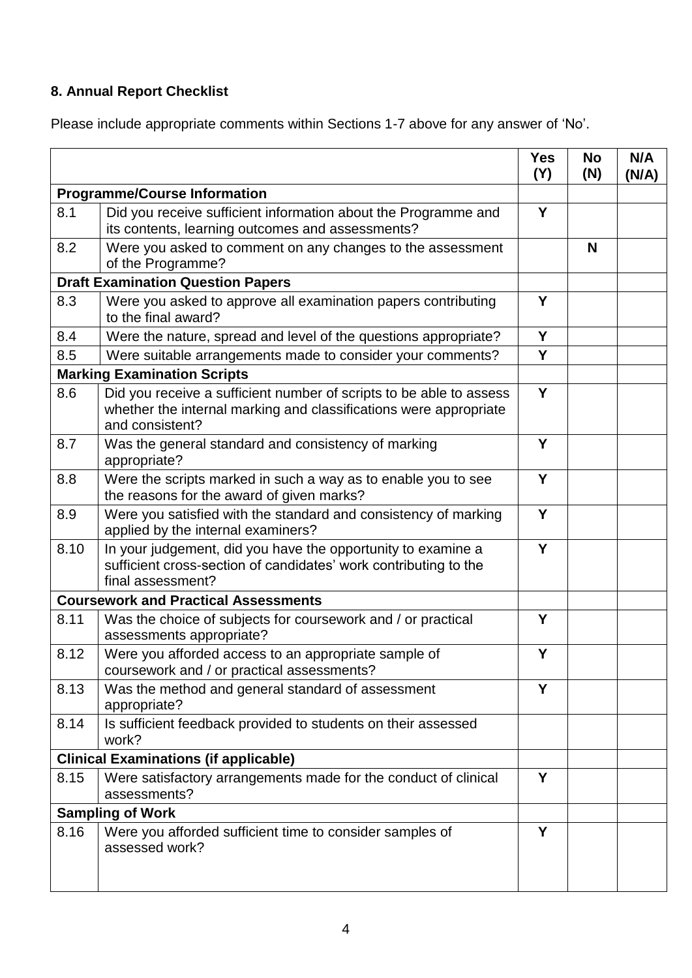# **8. Annual Report Checklist**

Please include appropriate comments within Sections 1-7 above for any answer of 'No'.

|                                              |                                                                                                                                                             | <b>Yes</b><br>(Y) | <b>No</b><br>(N) | N/A<br>(N/A) |
|----------------------------------------------|-------------------------------------------------------------------------------------------------------------------------------------------------------------|-------------------|------------------|--------------|
| <b>Programme/Course Information</b>          |                                                                                                                                                             |                   |                  |              |
| 8.1                                          | Did you receive sufficient information about the Programme and<br>its contents, learning outcomes and assessments?                                          | Y                 |                  |              |
| 8.2                                          | Were you asked to comment on any changes to the assessment<br>of the Programme?                                                                             |                   | N                |              |
| <b>Draft Examination Question Papers</b>     |                                                                                                                                                             |                   |                  |              |
| 8.3                                          | Were you asked to approve all examination papers contributing<br>to the final award?                                                                        | Y                 |                  |              |
| 8.4                                          | Were the nature, spread and level of the questions appropriate?                                                                                             | Y                 |                  |              |
| 8.5                                          | Were suitable arrangements made to consider your comments?                                                                                                  | Y                 |                  |              |
| <b>Marking Examination Scripts</b>           |                                                                                                                                                             |                   |                  |              |
| 8.6                                          | Did you receive a sufficient number of scripts to be able to assess<br>whether the internal marking and classifications were appropriate<br>and consistent? | Y                 |                  |              |
| 8.7                                          | Was the general standard and consistency of marking<br>appropriate?                                                                                         | Y                 |                  |              |
| 8.8                                          | Were the scripts marked in such a way as to enable you to see<br>the reasons for the award of given marks?                                                  | Y                 |                  |              |
| 8.9                                          | Were you satisfied with the standard and consistency of marking<br>applied by the internal examiners?                                                       | Y                 |                  |              |
| 8.10                                         | In your judgement, did you have the opportunity to examine a<br>sufficient cross-section of candidates' work contributing to the<br>final assessment?       | Y                 |                  |              |
|                                              | <b>Coursework and Practical Assessments</b>                                                                                                                 |                   |                  |              |
| 8.11                                         | Was the choice of subjects for coursework and / or practical<br>assessments appropriate?                                                                    | Y                 |                  |              |
| 8.12                                         | Were you afforded access to an appropriate sample of<br>coursework and / or practical assessments?                                                          | Y                 |                  |              |
| 8.13                                         | Was the method and general standard of assessment<br>appropriate?                                                                                           | Y                 |                  |              |
| 8.14                                         | Is sufficient feedback provided to students on their assessed<br>work?                                                                                      |                   |                  |              |
| <b>Clinical Examinations (if applicable)</b> |                                                                                                                                                             |                   |                  |              |
| 8.15                                         | Were satisfactory arrangements made for the conduct of clinical<br>assessments?                                                                             | Y                 |                  |              |
| <b>Sampling of Work</b>                      |                                                                                                                                                             |                   |                  |              |
| 8.16                                         | Were you afforded sufficient time to consider samples of<br>assessed work?                                                                                  | Y                 |                  |              |